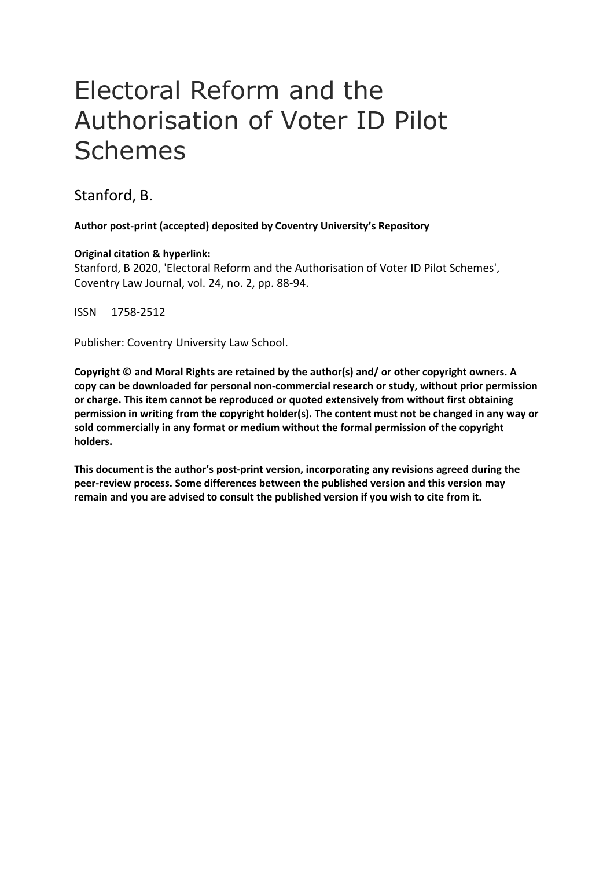# Electoral Reform and the Authorisation of Voter ID Pilot Schemes

Stanford, B.

**Author post-print (accepted) deposited by Coventry University's Repository**

#### **Original citation & hyperlink:**

Stanford, B 2020, 'Electoral Reform and the Authorisation of Voter ID Pilot Schemes', Coventry Law Journal, vol. 24, no. 2, pp. 88-94.

ISSN 1758-2512

Publisher: Coventry University Law School.

**Copyright © and Moral Rights are retained by the author(s) and/ or other copyright owners. A copy can be downloaded for personal non-commercial research or study, without prior permission or charge. This item cannot be reproduced or quoted extensively from without first obtaining permission in writing from the copyright holder(s). The content must not be changed in any way or sold commercially in any format or medium without the formal permission of the copyright holders.** 

**This document is the author's post-print version, incorporating any revisions agreed during the peer-review process. Some differences between the published version and this version may remain and you are advised to consult the published version if you wish to cite from it.**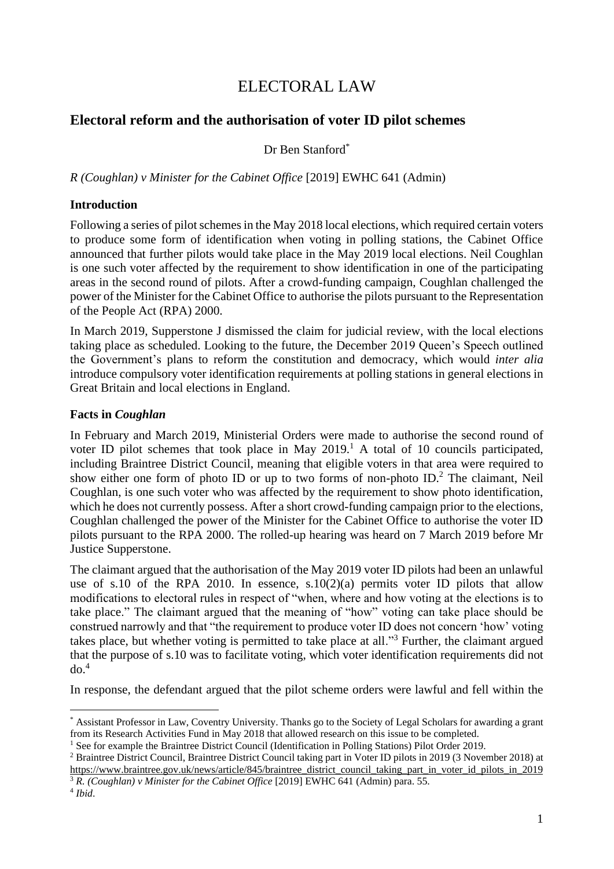# ELECTORAL LAW

# **Electoral reform and the authorisation of voter ID pilot schemes**

Dr Ben Stanford\*

*R (Coughlan) v Minister for the Cabinet Office* [2019] EWHC 641 (Admin)

## **Introduction**

Following a series of pilot schemes in the May 2018 local elections, which required certain voters to produce some form of identification when voting in polling stations, the Cabinet Office announced that further pilots would take place in the May 2019 local elections. Neil Coughlan is one such voter affected by the requirement to show identification in one of the participating areas in the second round of pilots. After a crowd-funding campaign, Coughlan challenged the power of the Minister for the Cabinet Office to authorise the pilots pursuant to the Representation of the People Act (RPA) 2000.

In March 2019, Supperstone J dismissed the claim for judicial review, with the local elections taking place as scheduled. Looking to the future, the December 2019 Queen's Speech outlined the Government's plans to reform the constitution and democracy, which would *inter alia*  introduce compulsory voter identification requirements at polling stations in general elections in Great Britain and local elections in England.

## **Facts in** *Coughlan*

In February and March 2019, Ministerial Orders were made to authorise the second round of voter ID pilot schemes that took place in May  $2019<sup>1</sup>$ . A total of 10 councils participated, including Braintree District Council, meaning that eligible voters in that area were required to show either one form of photo ID or up to two forms of non-photo ID.<sup>2</sup> The claimant, Neil Coughlan, is one such voter who was affected by the requirement to show photo identification, which he does not currently possess. After a short crowd-funding campaign prior to the elections, Coughlan challenged the power of the Minister for the Cabinet Office to authorise the voter ID pilots pursuant to the RPA 2000. The rolled-up hearing was heard on 7 March 2019 before Mr Justice Supperstone.

The claimant argued that the authorisation of the May 2019 voter ID pilots had been an unlawful use of s.10 of the RPA 2010. In essence, s.10(2)(a) permits voter ID pilots that allow modifications to electoral rules in respect of "when, where and how voting at the elections is to take place." The claimant argued that the meaning of "how" voting can take place should be construed narrowly and that "the requirement to produce voter ID does not concern 'how' voting takes place, but whether voting is permitted to take place at all."<sup>3</sup> Further, the claimant argued that the purpose of s.10 was to facilitate voting, which voter identification requirements did not do. 4

In response, the defendant argued that the pilot scheme orders were lawful and fell within the

<sup>\*</sup> Assistant Professor in Law, Coventry University. Thanks go to the Society of Legal Scholars for awarding a grant from its Research Activities Fund in May 2018 that allowed research on this issue to be completed.

<sup>1</sup> See for example the Braintree District Council (Identification in Polling Stations) Pilot Order 2019.

<sup>2</sup> Braintree District Council, Braintree District Council taking part in Voter ID pilots in 2019 (3 November 2018) at [https://www.braintree.gov.uk/news/article/845/braintree\\_district\\_council\\_taking\\_part\\_in\\_voter\\_id\\_pilots\\_in\\_2019](https://www.braintree.gov.uk/news/article/845/braintree_district_council_taking_part_in_voter_id_pilots_in_2019) <sup>3</sup> *R. (Coughlan) v Minister for the Cabinet Office* [2019] EWHC 641 (Admin) para. 55.

<sup>4</sup> *Ibid*.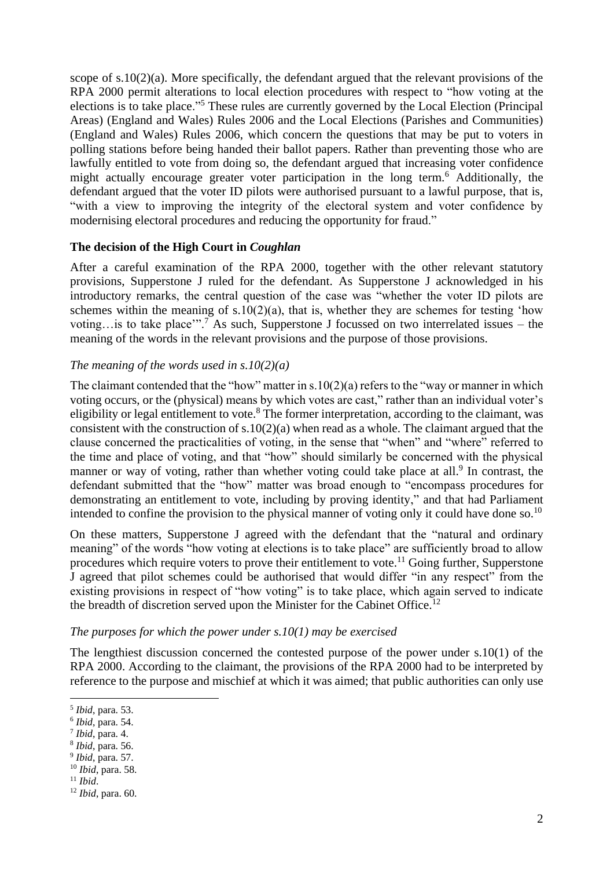scope of s.10(2)(a). More specifically, the defendant argued that the relevant provisions of the RPA 2000 permit alterations to local election procedures with respect to "how voting at the elections is to take place."<sup>5</sup> These rules are currently governed by the Local Election (Principal Areas) (England and Wales) Rules 2006 and the Local Elections (Parishes and Communities) (England and Wales) Rules 2006, which concern the questions that may be put to voters in polling stations before being handed their ballot papers. Rather than preventing those who are lawfully entitled to vote from doing so, the defendant argued that increasing voter confidence might actually encourage greater voter participation in the long term.<sup>6</sup> Additionally, the defendant argued that the voter ID pilots were authorised pursuant to a lawful purpose, that is, "with a view to improving the integrity of the electoral system and voter confidence by modernising electoral procedures and reducing the opportunity for fraud."

#### **The decision of the High Court in** *Coughlan*

After a careful examination of the RPA 2000, together with the other relevant statutory provisions, Supperstone J ruled for the defendant. As Supperstone J acknowledged in his introductory remarks, the central question of the case was "whether the voter ID pilots are schemes within the meaning of s.10(2)(a), that is, whether they are schemes for testing 'how voting…is to take place".<sup>7</sup> As such, Supperstone J focussed on two interrelated issues – the meaning of the words in the relevant provisions and the purpose of those provisions.

#### *The meaning of the words used in s.10(2)(a)*

The claimant contended that the "how" matter in  $s.10(2)(a)$  refers to the "way or manner in which voting occurs, or the (physical) means by which votes are cast," rather than an individual voter's eligibility or legal entitlement to vote.<sup>8</sup> The former interpretation, according to the claimant, was consistent with the construction of s.10(2)(a) when read as a whole. The claimant argued that the clause concerned the practicalities of voting, in the sense that "when" and "where" referred to the time and place of voting, and that "how" should similarly be concerned with the physical manner or way of voting, rather than whether voting could take place at all.<sup>9</sup> In contrast, the defendant submitted that the "how" matter was broad enough to "encompass procedures for demonstrating an entitlement to vote, including by proving identity," and that had Parliament intended to confine the provision to the physical manner of voting only it could have done so.<sup>10</sup>

On these matters, Supperstone J agreed with the defendant that the "natural and ordinary meaning" of the words "how voting at elections is to take place" are sufficiently broad to allow procedures which require voters to prove their entitlement to vote.<sup>11</sup> Going further, Supperstone J agreed that pilot schemes could be authorised that would differ "in any respect" from the existing provisions in respect of "how voting" is to take place, which again served to indicate the breadth of discretion served upon the Minister for the Cabinet Office.<sup>12</sup>

#### *The purposes for which the power under s.10(1) may be exercised*

The lengthiest discussion concerned the contested purpose of the power under s.10(1) of the RPA 2000. According to the claimant, the provisions of the RPA 2000 had to be interpreted by reference to the purpose and mischief at which it was aimed; that public authorities can only use

<sup>5</sup> *Ibid*, para. 53.

<sup>6</sup> *Ibid*, para. 54.

<sup>7</sup> *Ibid*, para. 4.

<sup>8</sup> *Ibid*, para. 56.

<sup>9</sup> *Ibid*, para. 57.

<sup>10</sup> *Ibid*, para. 58.

<sup>11</sup> *Ibid*.

<sup>12</sup> *Ibid*, para. 60.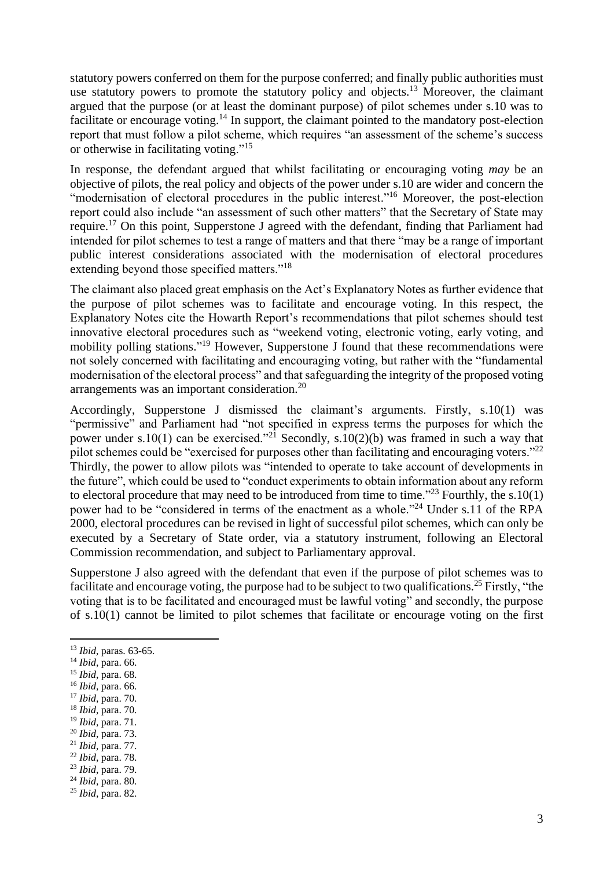statutory powers conferred on them for the purpose conferred; and finally public authorities must use statutory powers to promote the statutory policy and objects.<sup>13</sup> Moreover, the claimant argued that the purpose (or at least the dominant purpose) of pilot schemes under s.10 was to facilitate or encourage voting.<sup>14</sup> In support, the claimant pointed to the mandatory post-election report that must follow a pilot scheme, which requires "an assessment of the scheme's success or otherwise in facilitating voting."<sup>15</sup>

In response, the defendant argued that whilst facilitating or encouraging voting *may* be an objective of pilots, the real policy and objects of the power under s.10 are wider and concern the "modernisation of electoral procedures in the public interest."<sup>16</sup> Moreover, the post-election report could also include "an assessment of such other matters" that the Secretary of State may require.<sup>17</sup> On this point, Supperstone J agreed with the defendant, finding that Parliament had intended for pilot schemes to test a range of matters and that there "may be a range of important public interest considerations associated with the modernisation of electoral procedures extending beyond those specified matters."<sup>18</sup>

The claimant also placed great emphasis on the Act's Explanatory Notes as further evidence that the purpose of pilot schemes was to facilitate and encourage voting. In this respect, the Explanatory Notes cite the Howarth Report's recommendations that pilot schemes should test innovative electoral procedures such as "weekend voting, electronic voting, early voting, and mobility polling stations."<sup>19</sup> However, Supperstone J found that these recommendations were not solely concerned with facilitating and encouraging voting, but rather with the "fundamental modernisation of the electoral process" and that safeguarding the integrity of the proposed voting arrangements was an important consideration.<sup>20</sup>

Accordingly, Supperstone J dismissed the claimant's arguments. Firstly, s.10(1) was "permissive" and Parliament had "not specified in express terms the purposes for which the power under s.10(1) can be exercised."<sup>21</sup> Secondly, s.10(2)(b) was framed in such a way that pilot schemes could be "exercised for purposes other than facilitating and encouraging voters."<sup>22</sup> Thirdly, the power to allow pilots was "intended to operate to take account of developments in the future", which could be used to "conduct experiments to obtain information about any reform to electoral procedure that may need to be introduced from time to time."<sup>23</sup> Fourthly, the s.10(1) power had to be "considered in terms of the enactment as a whole."<sup>24</sup> Under s.11 of the RPA 2000, electoral procedures can be revised in light of successful pilot schemes, which can only be executed by a Secretary of State order, via a statutory instrument, following an Electoral Commission recommendation, and subject to Parliamentary approval.

Supperstone J also agreed with the defendant that even if the purpose of pilot schemes was to facilitate and encourage voting, the purpose had to be subject to two qualifications.<sup>25</sup> Firstly, "the voting that is to be facilitated and encouraged must be lawful voting" and secondly, the purpose of s.10(1) cannot be limited to pilot schemes that facilitate or encourage voting on the first

- <sup>16</sup> *Ibid*, para. 66.
- <sup>17</sup> *Ibid*, para. 70.
- <sup>18</sup> *Ibid*, para. 70.
- <sup>19</sup> *Ibid*, para. 71.
- <sup>20</sup> *Ibid*, para. 73. <sup>21</sup> *Ibid*, para. 77.
- <sup>22</sup> *Ibid*, para. 78.
- <sup>23</sup> *Ibid*, para. 79.
- <sup>24</sup> *Ibid*, para. 80.

<sup>13</sup> *Ibid*, paras. 63-65.

<sup>14</sup> *Ibid*, para. 66.

<sup>15</sup> *Ibid*, para. 68.

<sup>25</sup> *Ibid*, para. 82.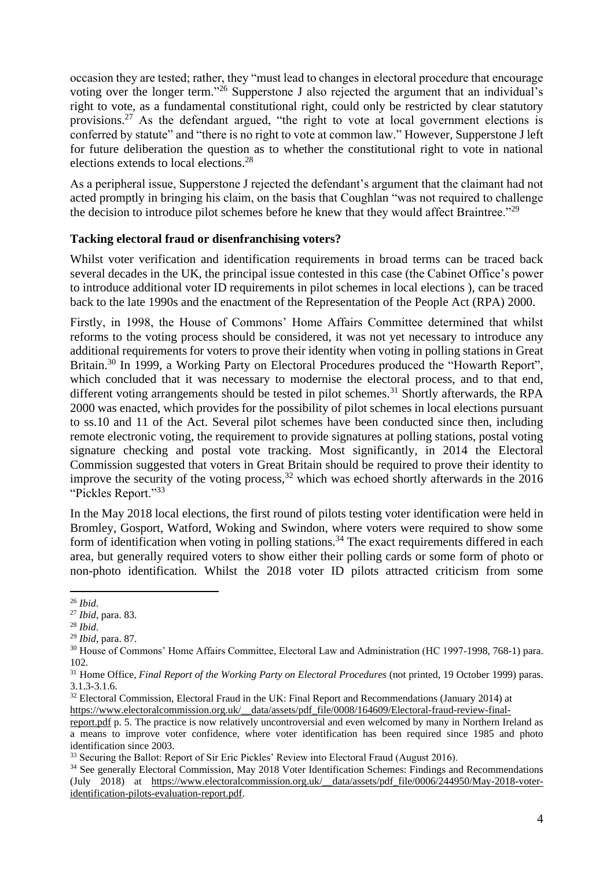occasion they are tested; rather, they "must lead to changes in electoral procedure that encourage voting over the longer term."<sup>26</sup> Supperstone J also rejected the argument that an individual's right to vote, as a fundamental constitutional right, could only be restricted by clear statutory provisions.<sup>27</sup> As the defendant argued, "the right to vote at local government elections is conferred by statute" and "there is no right to vote at common law." However, Supperstone J left for future deliberation the question as to whether the constitutional right to vote in national elections extends to local elections.<sup>28</sup>

As a peripheral issue, Supperstone J rejected the defendant's argument that the claimant had not acted promptly in bringing his claim, on the basis that Coughlan "was not required to challenge the decision to introduce pilot schemes before he knew that they would affect Braintree."<sup>29</sup>

## **Tacking electoral fraud or disenfranchising voters?**

Whilst voter verification and identification requirements in broad terms can be traced back several decades in the UK, the principal issue contested in this case (the Cabinet Office's power to introduce additional voter ID requirements in pilot schemes in local elections ), can be traced back to the late 1990s and the enactment of the Representation of the People Act (RPA) 2000.

Firstly, in 1998, the House of Commons' Home Affairs Committee determined that whilst reforms to the voting process should be considered, it was not yet necessary to introduce any additional requirements for voters to prove their identity when voting in polling stations in Great Britain.<sup>30</sup> In 1999, a Working Party on Electoral Procedures produced the "Howarth Report", which concluded that it was necessary to modernise the electoral process, and to that end, different voting arrangements should be tested in pilot schemes.<sup>31</sup> Shortly afterwards, the RPA 2000 was enacted, which provides for the possibility of pilot schemes in local elections pursuant to ss.10 and 11 of the Act. Several pilot schemes have been conducted since then, including remote electronic voting, the requirement to provide signatures at polling stations, postal voting signature checking and postal vote tracking. Most significantly, in 2014 the Electoral Commission suggested that voters in Great Britain should be required to prove their identity to improve the security of the voting process,  $32$  which was echoed shortly afterwards in the 2016 "Pickles Report."<sup>33</sup>

In the May 2018 local elections, the first round of pilots testing voter identification were held in Bromley, Gosport, Watford, Woking and Swindon, where voters were required to show some form of identification when voting in polling stations.<sup>34</sup> The exact requirements differed in each area, but generally required voters to show either their polling cards or some form of photo or non-photo identification. Whilst the 2018 voter ID pilots attracted criticism from some

<sup>26</sup> *Ibid*.

<sup>27</sup> *Ibid*, para. 83.

<sup>28</sup> *Ibid*.

<sup>29</sup> *Ibid*, para. 87.

<sup>30</sup> House of Commons' Home Affairs Committee, Electoral Law and Administration (HC 1997-1998, 768-1) para. 102.

<sup>31</sup> Home Office, *Final Report of the Working Party on Electoral Procedures* (not printed, 19 October 1999) paras. 3.1.3-3.1.6.

<sup>&</sup>lt;sup>32</sup> Electoral Commission, Electoral Fraud in the UK: Final Report and Recommendations (January 2014) at

[https://www.electoralcommission.org.uk/\\_\\_data/assets/pdf\\_file/0008/164609/Electoral-fraud-review-final-](https://www.electoralcommission.org.uk/__data/assets/pdf_file/0008/164609/Electoral-fraud-review-final-report.pdf)

[report.pdf](https://www.electoralcommission.org.uk/__data/assets/pdf_file/0008/164609/Electoral-fraud-review-final-report.pdf) p. 5. The practice is now relatively uncontroversial and even welcomed by many in Northern Ireland as a means to improve voter confidence, where voter identification has been required since 1985 and photo identification since 2003.

<sup>&</sup>lt;sup>33</sup> Securing the Ballot: Report of Sir Eric Pickles' Review into Electoral Fraud (August 2016).

<sup>&</sup>lt;sup>34</sup> See generally Electoral Commission, May 2018 Voter Identification Schemes: Findings and Recommendations (July 2018) at [https://www.electoralcommission.org.uk/\\_\\_data/assets/pdf\\_file/0006/244950/May-2018-voter](https://www.electoralcommission.org.uk/__data/assets/pdf_file/0006/244950/May-2018-voter-identification-pilots-evaluation-report.pdf)[identification-pilots-evaluation-report.pdf.](https://www.electoralcommission.org.uk/__data/assets/pdf_file/0006/244950/May-2018-voter-identification-pilots-evaluation-report.pdf)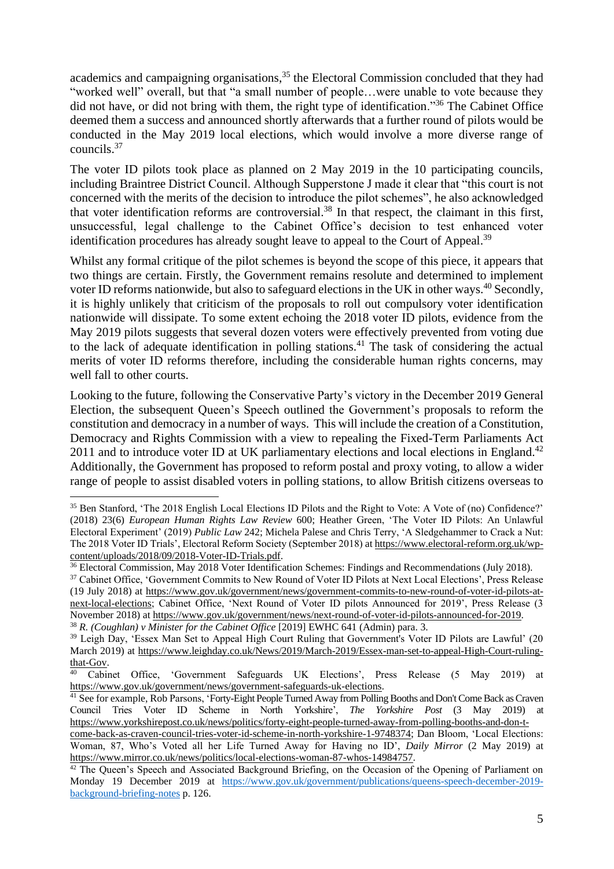academics and campaigning organisations,<sup>35</sup> the Electoral Commission concluded that they had "worked well" overall, but that "a small number of people…were unable to vote because they did not have, or did not bring with them, the right type of identification."<sup>36</sup> The Cabinet Office deemed them a success and announced shortly afterwards that a further round of pilots would be conducted in the May 2019 local elections, which would involve a more diverse range of councils.<sup>37</sup>

The voter ID pilots took place as planned on 2 May 2019 in the 10 participating councils, including Braintree District Council. Although Supperstone J made it clear that "this court is not concerned with the merits of the decision to introduce the pilot schemes", he also acknowledged that voter identification reforms are controversial. <sup>38</sup> In that respect, the claimant in this first, unsuccessful, legal challenge to the Cabinet Office's decision to test enhanced voter identification procedures has already sought leave to appeal to the Court of Appeal.<sup>39</sup>

Whilst any formal critique of the pilot schemes is beyond the scope of this piece, it appears that two things are certain. Firstly, the Government remains resolute and determined to implement voter ID reforms nationwide, but also to safeguard elections in the UK in other ways.<sup>40</sup> Secondly, it is highly unlikely that criticism of the proposals to roll out compulsory voter identification nationwide will dissipate. To some extent echoing the 2018 voter ID pilots, evidence from the May 2019 pilots suggests that several dozen voters were effectively prevented from voting due to the lack of adequate identification in polling stations.<sup>41</sup> The task of considering the actual merits of voter ID reforms therefore, including the considerable human rights concerns, may well fall to other courts.

Looking to the future, following the Conservative Party's victory in the December 2019 General Election, the subsequent Queen's Speech outlined the Government's proposals to reform the constitution and democracy in a number of ways. This will include the creation of a Constitution, Democracy and Rights Commission with a view to repealing the Fixed-Term Parliaments Act 2011 and to introduce voter ID at UK parliamentary elections and local elections in England.<sup>42</sup> Additionally, the Government has proposed to reform postal and proxy voting, to allow a wider range of people to assist disabled voters in polling stations, to allow British citizens overseas to

<sup>35</sup> Ben Stanford, 'The 2018 English Local Elections ID Pilots and the Right to Vote: A Vote of (no) Confidence?' (2018) 23(6) *European Human Rights Law Review* 600; Heather Green, 'The Voter ID Pilots: An Unlawful Electoral Experiment' (2019) *Public Law* 242; Michela Palese and Chris Terry, 'A Sledgehammer to Crack a Nut: The 2018 Voter ID Trials', Electoral Reform Society (September 2018) a[t https://www.electoral-reform.org.uk/wp](https://www.electoral-reform.org.uk/wp-content/uploads/2018/09/2018-Voter-ID-Trials.pdf)[content/uploads/2018/09/2018-Voter-ID-Trials.pdf.](https://www.electoral-reform.org.uk/wp-content/uploads/2018/09/2018-Voter-ID-Trials.pdf)

<sup>36</sup> Electoral Commission, May 2018 Voter Identification Schemes: Findings and Recommendations (July 2018).

<sup>&</sup>lt;sup>37</sup> Cabinet Office, 'Government Commits to New Round of Voter ID Pilots at Next Local Elections', Press Release (19 July 2018) at [https://www.gov.uk/government/news/government-commits-to-new-round-of-voter-id-pilots-at](https://www.gov.uk/government/news/government-commits-to-new-round-of-voter-id-pilots-at-next-local-elections)[next-local-elections;](https://www.gov.uk/government/news/government-commits-to-new-round-of-voter-id-pilots-at-next-local-elections) Cabinet Office, 'Next Round of Voter ID pilots Announced for 2019', Press Release (3) November 2018) at [https://www.gov.uk/government/news/next-round-of-voter-id-pilots-announced-for-2019.](https://www.gov.uk/government/news/next-round-of-voter-id-pilots-announced-for-2019) <sup>38</sup> *R. (Coughlan) v Minister for the Cabinet Office* [2019] EWHC 641 (Admin) para. 3.

<sup>39</sup> Leigh Day, 'Essex Man Set to Appeal High Court Ruling that Government's Voter ID Pilots are Lawful' (20 March 2019) at [https://www.leighday.co.uk/News/2019/March-2019/Essex-man-set-to-appeal-High-Court-ruling](https://www.leighday.co.uk/News/2019/March-2019/Essex-man-set-to-appeal-High-Court-ruling-that-Gov)[that-Gov.](https://www.leighday.co.uk/News/2019/March-2019/Essex-man-set-to-appeal-High-Court-ruling-that-Gov)

<sup>40</sup> Cabinet Office, 'Government Safeguards UK Elections', Press Release (5 May 2019) at [https://www.gov.uk/government/news/government-safeguards-uk-elections.](https://www.gov.uk/government/news/government-safeguards-uk-elections)

<sup>&</sup>lt;sup>41</sup> See for example, Rob Parsons, 'Forty-Eight People Turned Away from Polling Booths and Don't Come Back as Craven Council Tries Voter ID Scheme in North Yorkshire', *The Yorkshire Post* (3 May 2019) at [https://www.yorkshirepost.co.uk/news/politics/forty-eight-people-turned-away-from-polling-booths-and-don-t-](https://www.yorkshirepost.co.uk/news/politics/forty-eight-people-turned-away-from-polling-booths-and-don-t-come-back-as-craven-council-tries-voter-id-scheme-in-north-yorkshire-1-9748374)

[come-back-as-craven-council-tries-voter-id-scheme-in-north-yorkshire-1-9748374;](https://www.yorkshirepost.co.uk/news/politics/forty-eight-people-turned-away-from-polling-booths-and-don-t-come-back-as-craven-council-tries-voter-id-scheme-in-north-yorkshire-1-9748374) Dan Bloom, 'Local Elections: Woman, 87, Who's Voted all her Life Turned Away for Having no ID', *Daily Mirror* (2 May 2019) at [https://www.mirror.co.uk/news/politics/local-elections-woman-87-whos-14984757.](https://www.mirror.co.uk/news/politics/local-elections-woman-87-whos-14984757)

<sup>&</sup>lt;sup>42</sup> The Queen's Speech and Associated Background Briefing, on the Occasion of the Opening of Parliament on Monday 19 December 2019 at [https://www.gov.uk/government/publications/queens-speech-december-2019](https://www.gov.uk/government/publications/queens-speech-december-2019-background-briefing-notes) [background-briefing-notes](https://www.gov.uk/government/publications/queens-speech-december-2019-background-briefing-notes) p. 126.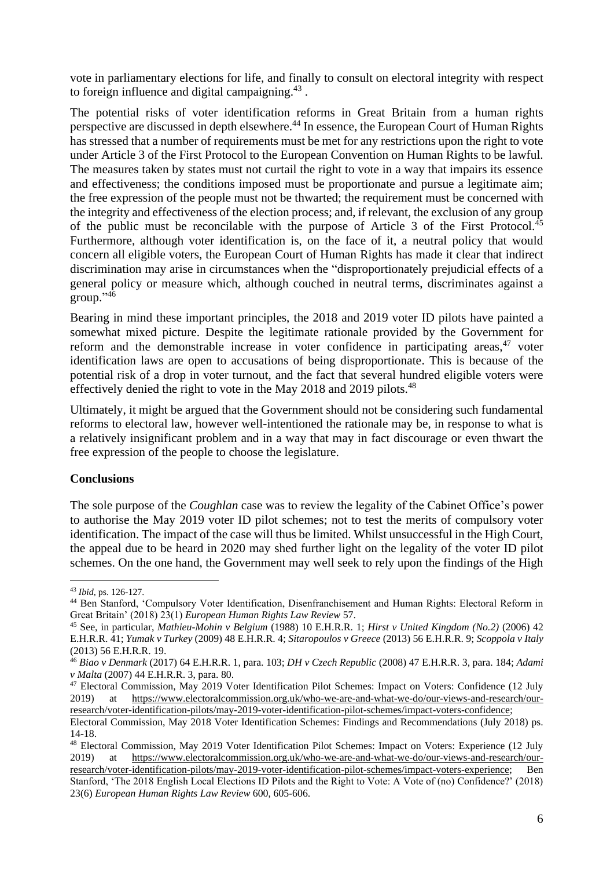vote in parliamentary elections for life, and finally to consult on electoral integrity with respect to foreign influence and digital campaigning. $43$ .

The potential risks of voter identification reforms in Great Britain from a human rights perspective are discussed in depth elsewhere.<sup>44</sup> In essence, the European Court of Human Rights has stressed that a number of requirements must be met for any restrictions upon the right to vote under Article 3 of the First Protocol to the European Convention on Human Rights to be lawful. The measures taken by states must not curtail the right to vote in a way that impairs its essence and effectiveness; the conditions imposed must be proportionate and pursue a legitimate aim; the free expression of the people must not be thwarted; the requirement must be concerned with the integrity and effectiveness of the election process; and, if relevant, the exclusion of any group of the public must be reconcilable with the purpose of Article 3 of the First Protocol.<sup>45</sup> Furthermore, although voter identification is, on the face of it, a neutral policy that would concern all eligible voters, the European Court of Human Rights has made it clear that indirect discrimination may arise in circumstances when the "disproportionately prejudicial effects of a general policy or measure which, although couched in neutral terms, discriminates against a group."<sup>46</sup>

Bearing in mind these important principles, the 2018 and 2019 voter ID pilots have painted a somewhat mixed picture. Despite the legitimate rationale provided by the Government for reform and the demonstrable increase in voter confidence in participating areas,  $47$  voter identification laws are open to accusations of being disproportionate. This is because of the potential risk of a drop in voter turnout, and the fact that several hundred eligible voters were effectively denied the right to vote in the May 2018 and 2019 pilots.<sup>48</sup>

Ultimately, it might be argued that the Government should not be considering such fundamental reforms to electoral law, however well-intentioned the rationale may be, in response to what is a relatively insignificant problem and in a way that may in fact discourage or even thwart the free expression of the people to choose the legislature.

#### **Conclusions**

The sole purpose of the *Coughlan* case was to review the legality of the Cabinet Office's power to authorise the May 2019 voter ID pilot schemes; not to test the merits of compulsory voter identification. The impact of the case will thus be limited. Whilst unsuccessful in the High Court, the appeal due to be heard in 2020 may shed further light on the legality of the voter ID pilot schemes. On the one hand, the Government may well seek to rely upon the findings of the High

<sup>43</sup> *Ibid,* ps. 126-127.

<sup>44</sup> Ben Stanford, 'Compulsory Voter Identification, Disenfranchisement and Human Rights: Electoral Reform in Great Britain' (2018) 23(1) *European Human Rights Law Review* 57.

<sup>45</sup> See, in particular, *Mathieu-Mohin v Belgium* (1988) 10 E.H.R.R. 1; *Hirst v United Kingdom (No.2)* (2006) 42 E.H.R.R. 41; *Yumak v Turkey* (2009) 48 E.H.R.R. 4; *Sitaropoulos v Greece* (2013) 56 E.H.R.R. 9; *Scoppola v Italy*  (2013) 56 E.H.R.R. 19.

<sup>46</sup> *Biao v Denmark* (2017) 64 E.H.R.R. 1, para. 103; *DH v Czech Republic* (2008) 47 E.H.R.R. 3, para. 184; *Adami v Malta* (2007) 44 E.H.R.R. 3, para. 80.

<sup>47</sup> Electoral Commission, May 2019 Voter Identification Pilot Schemes: Impact on Voters: Confidence (12 July 2019) at [https://www.electoralcommission.org.uk/who-we-are-and-what-we-do/our-views-and-research/our](https://www.electoralcommission.org.uk/who-we-are-and-what-we-do/our-views-and-research/our-research/voter-identification-pilots/may-2019-voter-identification-pilot-schemes/impact-voters-confidence)[research/voter-identification-pilots/may-2019-voter-identification-pilot-schemes/impact-voters-confidence;](https://www.electoralcommission.org.uk/who-we-are-and-what-we-do/our-views-and-research/our-research/voter-identification-pilots/may-2019-voter-identification-pilot-schemes/impact-voters-confidence)

Electoral Commission, May 2018 Voter Identification Schemes: Findings and Recommendations (July 2018) ps. 14-18.

<sup>48</sup> Electoral Commission, May 2019 Voter Identification Pilot Schemes: Impact on Voters: Experience (12 July 2019) at [https://www.electoralcommission.org.uk/who-we-are-and-what-we-do/our-views-and-research/our](https://www.electoralcommission.org.uk/who-we-are-and-what-we-do/our-views-and-research/our-research/voter-identification-pilots/may-2019-voter-identification-pilot-schemes/impact-voters-experience)[research/voter-identification-pilots/may-2019-voter-identification-pilot-schemes/impact-voters-experience;](https://www.electoralcommission.org.uk/who-we-are-and-what-we-do/our-views-and-research/our-research/voter-identification-pilots/may-2019-voter-identification-pilot-schemes/impact-voters-experience) Ben Stanford, 'The 2018 English Local Elections ID Pilots and the Right to Vote: A Vote of (no) Confidence?' (2018) 23(6) *European Human Rights Law Review* 600, 605-606.